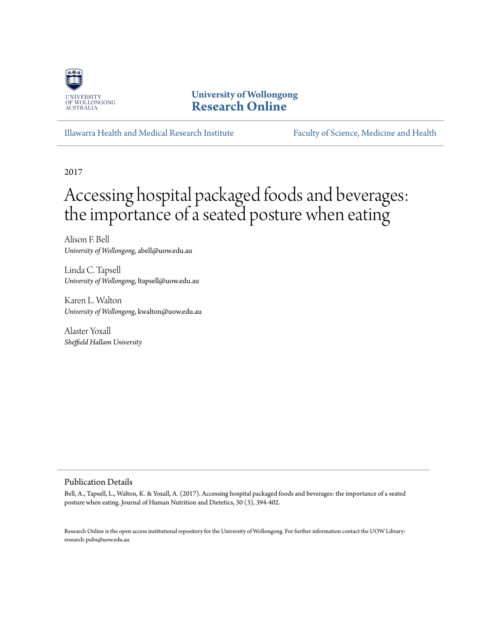

# **University of Wollongong [Research Online](http://ro.uow.edu.au)**

[Illawarra Health and Medical Research Institute](http://ro.uow.edu.au/ihmri) [Faculty of Science, Medicine and Health](http://ro.uow.edu.au/smh)

2017

# Accessing hospital packaged foods and beverages: the importance of a seated posture when eating

Alison F. Bell *University of Wollongong*, abell@uow.edu.au

Linda C. Tapsell *University of Wollongong*, ltapsell@uow.edu.au

Karen L. Walton *University of Wollongong*, kwalton@uow.edu.au

Alaster Yoxall *Sheffield Hallam University*

#### Publication Details

Bell, A., Tapsell, L., Walton, K. & Yoxall, A. (2017). Accessing hospital packaged foods and beverages: the importance of a seated posture when eating. Journal of Human Nutrition and Dietetics, 30 (3), 394-402.

Research Online is the open access institutional repository for the University of Wollongong. For further information contact the UOW Library: research-pubs@uow.edu.au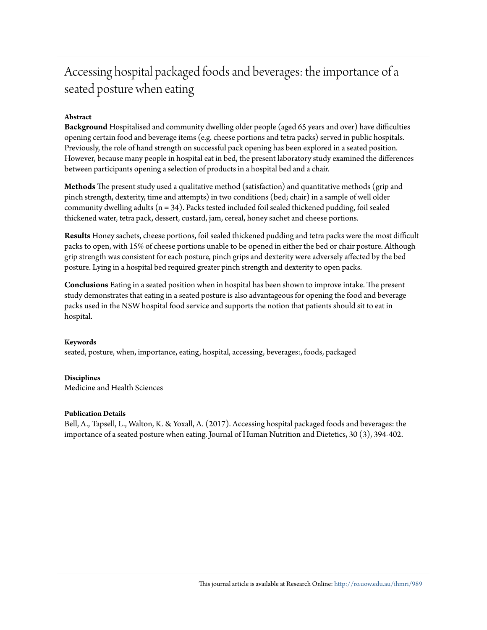# Accessing hospital packaged foods and beverages: the importance of a seated posture when eating

#### **Abstract**

**Background** Hospitalised and community dwelling older people (aged 65 years and over) have difficulties opening certain food and beverage items (e.g. cheese portions and tetra packs) served in public hospitals. Previously, the role of hand strength on successful pack opening has been explored in a seated position. However, because many people in hospital eat in bed, the present laboratory study examined the differences between participants opening a selection of products in a hospital bed and a chair.

**Methods** The present study used a qualitative method (satisfaction) and quantitative methods (grip and pinch strength, dexterity, time and attempts) in two conditions (bed; chair) in a sample of well older community dwelling adults (n = 34). Packs tested included foil sealed thickened pudding, foil sealed thickened water, tetra pack, dessert, custard, jam, cereal, honey sachet and cheese portions.

**Results** Honey sachets, cheese portions, foil sealed thickened pudding and tetra packs were the most difficult packs to open, with 15% of cheese portions unable to be opened in either the bed or chair posture. Although grip strength was consistent for each posture, pinch grips and dexterity were adversely affected by the bed posture. Lying in a hospital bed required greater pinch strength and dexterity to open packs.

**Conclusions** Eating in a seated position when in hospital has been shown to improve intake. The present study demonstrates that eating in a seated posture is also advantageous for opening the food and beverage packs used in the NSW hospital food service and supports the notion that patients should sit to eat in hospital.

#### **Keywords**

seated, posture, when, importance, eating, hospital, accessing, beverages:, foods, packaged

#### **Disciplines**

Medicine and Health Sciences

#### **Publication Details**

Bell, A., Tapsell, L., Walton, K. & Yoxall, A. (2017). Accessing hospital packaged foods and beverages: the importance of a seated posture when eating. Journal of Human Nutrition and Dietetics, 30 (3), 394-402.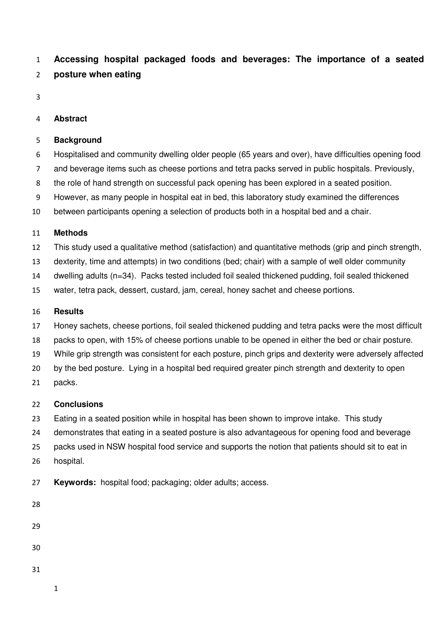**Accessing hospital packaged foods and beverages: The importance of a seated posture when eating**

#### **Abstract**

#### **Background**

- Hospitalised and community dwelling older people (65 years and over), have difficulties opening food
- and beverage items such as cheese portions and tetra packs served in public hospitals. Previously,
- the role of hand strength on successful pack opening has been explored in a seated position.
- However, as many people in hospital eat in bed, this laboratory study examined the differences
- between participants opening a selection of products both in a hospital bed and a chair.

#### **Methods**

- This study used a qualitative method (satisfaction) and quantitative methods (grip and pinch strength,
- dexterity, time and attempts) in two conditions (bed; chair) with a sample of well older community
- dwelling adults (n=34). Packs tested included foil sealed thickened pudding, foil sealed thickened
- water, tetra pack, dessert, custard, jam, cereal, honey sachet and cheese portions.

#### **Results**

- Honey sachets, cheese portions, foil sealed thickened pudding and tetra packs were the most difficult
- packs to open, with 15% of cheese portions unable to be opened in either the bed or chair posture.
- While grip strength was consistent for each posture, pinch grips and dexterity were adversely affected
- by the bed posture. Lying in a hospital bed required greater pinch strength and dexterity to open
- packs.

#### **Conclusions**

- Eating in a seated position while in hospital has been shown to improve intake. This study
- demonstrates that eating in a seated posture is also advantageous for opening food and beverage
- packs used in NSW hospital food service and supports the notion that patients should sit to eat in hospital.
- **Keywords:** hospital food; packaging; older adults; access.
-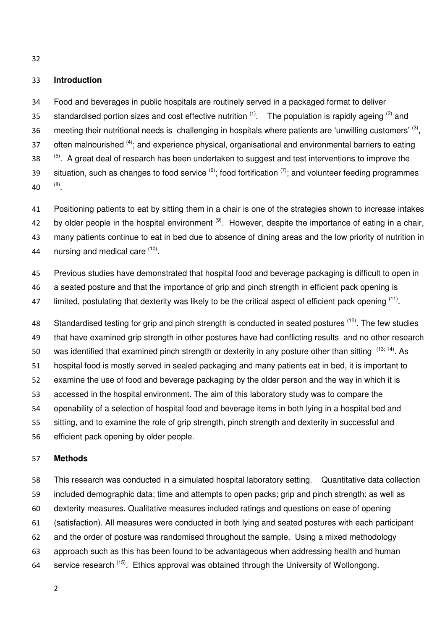#### **Introduction**

Food and beverages in public hospitals are routinely served in a packaged format to deliver standardised portion sizes and cost effective nutrition  $(1)$ . The population is rapidly ageing  $(2)$  and 36 meeting their nutritional needs is challenging in hospitals where patients are 'unwilling customers'  $(3)$ , 37 often malnourished  $(4)$ ; and experience physical, organisational and environmental barriers to eating 38 <sup>(5)</sup>. A great deal of research has been undertaken to suggest and test interventions to improve the 39 situation, such as changes to food service  $^{(6)}$ ; food fortification  $^{(7)}$ ; and volunteer feeding programmes  $(40 \t(8)$ .

Positioning patients to eat by sitting them in a chair is one of the strategies shown to increase intakes 42 by older people in the hospital environment  $(9)$ . However, despite the importance of eating in a chair, many patients continue to eat in bed due to absence of dining areas and the low priority of nutrition in  $\ldots$  nursing and medical care  $(10)$ .

Previous studies have demonstrated that hospital food and beverage packaging is difficult to open in

a seated posture and that the importance of grip and pinch strength in efficient pack opening is

47 limited, postulating that dexterity was likely to be the critical aspect of efficient pack opening <sup>(11)</sup>.

48 Standardised testing for grip and pinch strength is conducted in seated postures <sup>(12)</sup>. The few studies that have examined grip strength in other postures have had conflicting results and no other research 50 was identified that examined pinch strength or dexterity in any posture other than sitting  $(13; 14)$ . As hospital food is mostly served in sealed packaging and many patients eat in bed, it is important to examine the use of food and beverage packaging by the older person and the way in which it is accessed in the hospital environment. The aim of this laboratory study was to compare the openability of a selection of hospital food and beverage items in both lying in a hospital bed and sitting, and to examine the role of grip strength, pinch strength and dexterity in successful and

efficient pack opening by older people.

#### **Methods**

This research was conducted in a simulated hospital laboratory setting. Quantitative data collection included demographic data; time and attempts to open packs; grip and pinch strength; as well as dexterity measures. Qualitative measures included ratings and questions on ease of opening (satisfaction). All measures were conducted in both lying and seated postures with each participant and the order of posture was randomised throughout the sample. Using a mixed methodology approach such as this has been found to be advantageous when addressing health and human 64 service research  $(15)$ . Ethics approval was obtained through the University of Wollongong.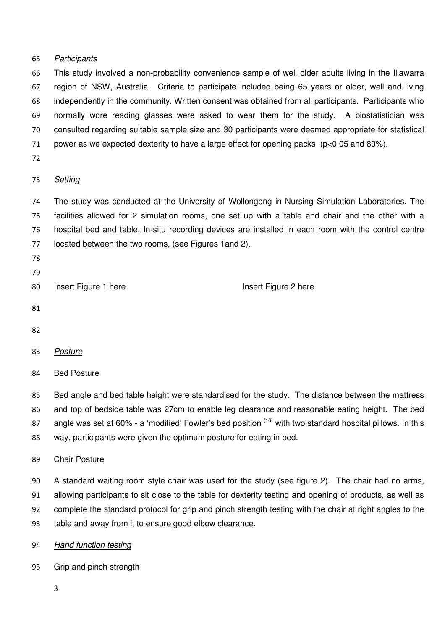#### Participants

This study involved a non-probability convenience sample of well older adults living in the Illawarra region of NSW, Australia. Criteria to participate included being 65 years or older, well and living independently in the community. Written consent was obtained from all participants. Participants who normally wore reading glasses were asked to wear them for the study. A biostatistician was consulted regarding suitable sample size and 30 participants were deemed appropriate for statistical power as we expected dexterity to have a large effect for opening packs (p<0.05 and 80%).

#### Setting

The study was conducted at the University of Wollongong in Nursing Simulation Laboratories. The facilities allowed for 2 simulation rooms, one set up with a table and chair and the other with a hospital bed and table. In-situ recording devices are installed in each room with the control centre located between the two rooms, (see Figures 1and 2).

- 
- 

80 Insert Figure 1 here Insert Figure 2 here

- 
- 

#### Posture

Bed Posture

Bed angle and bed table height were standardised for the study. The distance between the mattress and top of bedside table was 27cm to enable leg clearance and reasonable eating height. The bed

87 angle was set at 60% - a 'modified' Fowler's bed position  $(16)$  with two standard hospital pillows. In this

way, participants were given the optimum posture for eating in bed.

## Chair Posture

A standard waiting room style chair was used for the study (see figure 2). The chair had no arms, allowing participants to sit close to the table for dexterity testing and opening of products, as well as complete the standard protocol for grip and pinch strength testing with the chair at right angles to the table and away from it to ensure good elbow clearance.

- Hand function testing
- Grip and pinch strength
	-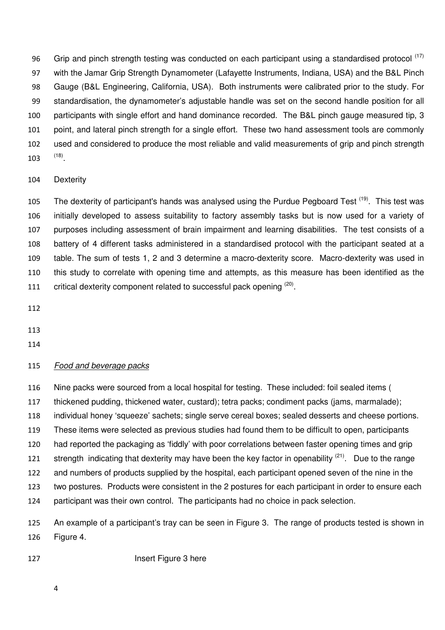96 Grip and pinch strength testing was conducted on each participant using a standardised protocol (17) with the Jamar Grip Strength Dynamometer (Lafayette Instruments, Indiana, USA) and the B&L Pinch Gauge (B&L Engineering, California, USA). Both instruments were calibrated prior to the study. For standardisation, the dynamometer's adjustable handle was set on the second handle position for all participants with single effort and hand dominance recorded. The B&L pinch gauge measured tip, 3 point, and lateral pinch strength for a single effort. These two hand assessment tools are commonly used and considered to produce the most reliable and valid measurements of grip and pinch strength  $(18)$ 

#### Dexterity

105 The dexterity of participant's hands was analysed using the Purdue Pegboard Test <sup>(19)</sup>. This test was initially developed to assess suitability to factory assembly tasks but is now used for a variety of purposes including assessment of brain impairment and learning disabilities. The test consists of a battery of 4 different tasks administered in a standardised protocol with the participant seated at a table. The sum of tests 1, 2 and 3 determine a macro-dexterity score. Macro-dexterity was used in this study to correlate with opening time and attempts, as this measure has been identified as the 111 critical dexterity component related to successful pack opening  $(20)$ .

#### Food and beverage packs

Nine packs were sourced from a local hospital for testing. These included: foil sealed items ( thickened pudding, thickened water, custard); tetra packs; condiment packs (jams, marmalade); individual honey 'squeeze' sachets; single serve cereal boxes; sealed desserts and cheese portions. These items were selected as previous studies had found them to be difficult to open, participants had reported the packaging as 'fiddly' with poor correlations between faster opening times and grip 121 strength indicating that dexterity may have been the key factor in openability  $(21)$ . Due to the range and numbers of products supplied by the hospital, each participant opened seven of the nine in the two postures. Products were consistent in the 2 postures for each participant in order to ensure each participant was their own control. The participants had no choice in pack selection.

An example of a participant's tray can be seen in Figure 3. The range of products tested is shown in Figure 4.

127 Insert Figure 3 here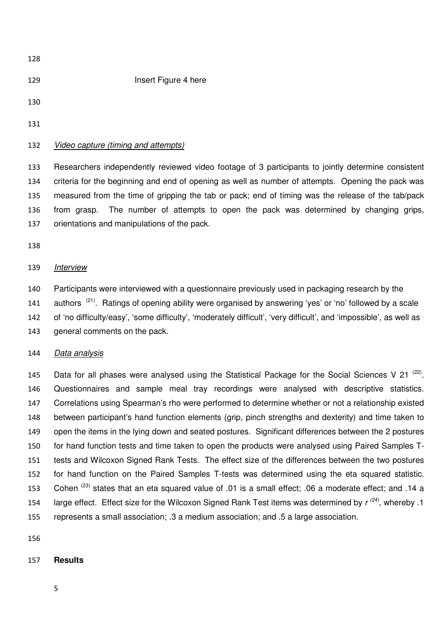**Insert Figure 4 here**  

#### Video capture (timing and attempts)

Researchers independently reviewed video footage of 3 participants to jointly determine consistent criteria for the beginning and end of opening as well as number of attempts. Opening the pack was measured from the time of gripping the tab or pack; end of timing was the release of the tab/pack from grasp. The number of attempts to open the pack was determined by changing grips, orientations and manipulations of the pack.

#### Interview

Participants were interviewed with a questionnaire previously used in packaging research by the 141 authors  $(21)$ . Ratings of opening ability were organised by answering 'yes' or 'no' followed by a scale of 'no difficulty/easy', 'some difficulty', 'moderately difficult', 'very difficult', and 'impossible', as well as general comments on the pack.

#### 144 Data analysis

145 Data for all phases were analysed using the Statistical Package for the Social Sciences V 21<sup>(22)</sup>. Questionnaires and sample meal tray recordings were analysed with descriptive statistics. Correlations using Spearman's rho were performed to determine whether or not a relationship existed between participant's hand function elements (grip, pinch strengths and dexterity) and time taken to open the items in the lying down and seated postures. Significant differences between the 2 postures for hand function tests and time taken to open the products were analysed using Paired Samples T-tests and Wilcoxon Signed Rank Tests. The effect size of the differences between the two postures for hand function on the Paired Samples T-tests was determined using the eta squared statistic. 153 Cohen<sup>(23)</sup> states that an eta squared value of .01 is a small effect; .06 a moderate effect; and .14 a 154 large effect. Effect size for the Wilcoxon Signed Rank Test items was determined by  $r^{(24)}$ , whereby .1 represents a small association; .3 a medium association; and .5 a large association.

#### **Results**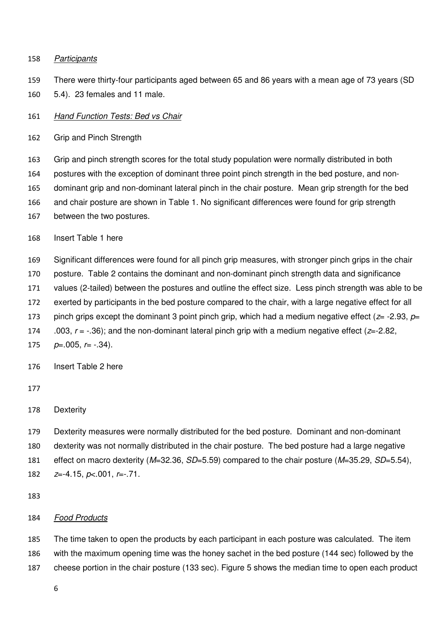#### 158 Participants

- There were thirty-four participants aged between 65 and 86 years with a mean age of 73 years (SD
- 5.4). 23 females and 11 male.

#### 161 Hand Function Tests: Bed vs Chair

Grip and Pinch Strength

Grip and pinch strength scores for the total study population were normally distributed in both

postures with the exception of dominant three point pinch strength in the bed posture, and non-

dominant grip and non-dominant lateral pinch in the chair posture. Mean grip strength for the bed

- and chair posture are shown in Table 1. No significant differences were found for grip strength
- between the two postures.

Insert Table 1 here

Significant differences were found for all pinch grip measures, with stronger pinch grips in the chair

- posture. Table 2 contains the dominant and non-dominant pinch strength data and significance
- values (2-tailed) between the postures and outline the effect size. Less pinch strength was able to be
- exerted by participants in the bed posture compared to the chair, with a large negative effect for all
- 173 pinch grips except the dominant 3 point pinch grip, which had a medium negative effect ( $z=$  -2.93,  $p=$
- 174 .003,  $r = -0.36$ ; and the non-dominant lateral pinch grip with a medium negative effect ( $z = -2.82$ ,

175  $p=.005, r=.34$ .

#### Insert Table 2 here

# 

# Dexterity

Dexterity measures were normally distributed for the bed posture. Dominant and non-dominant dexterity was not normally distributed in the chair posture. The bed posture had a large negative 181 effect on macro dexterity  $(M=32.36, SD=5.59)$  compared to the chair posture  $(M=35.29, SD=5.54)$ ,  $z=-4.15, p<.001, r=-.71$ .

## 184 Food Products

The time taken to open the products by each participant in each posture was calculated. The item with the maximum opening time was the honey sachet in the bed posture (144 sec) followed by the cheese portion in the chair posture (133 sec). Figure 5 shows the median time to open each product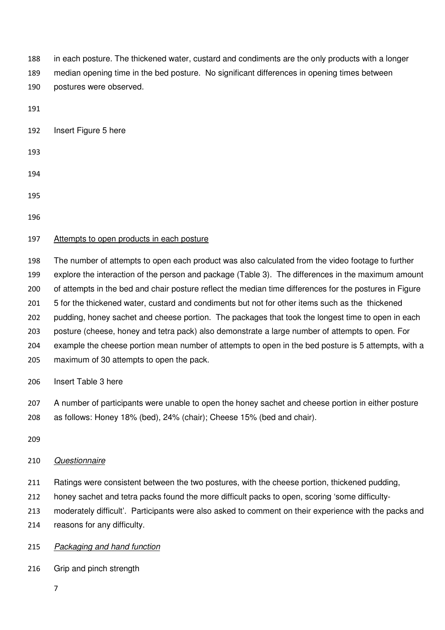in each posture. The thickened water, custard and condiments are the only products with a longer median opening time in the bed posture. No significant differences in opening times between postures were observed.

Insert Figure 5 here

 

# 

# 197 Attempts to open products in each posture

The number of attempts to open each product was also calculated from the video footage to further explore the interaction of the person and package (Table 3). The differences in the maximum amount of attempts in the bed and chair posture reflect the median time differences for the postures in Figure 201 5 for the thickened water, custard and condiments but not for other items such as the thickened pudding, honey sachet and cheese portion. The packages that took the longest time to open in each posture (cheese, honey and tetra pack) also demonstrate a large number of attempts to open. For example the cheese portion mean number of attempts to open in the bed posture is 5 attempts, with a maximum of 30 attempts to open the pack.

Insert Table 3 here

A number of participants were unable to open the honey sachet and cheese portion in either posture as follows: Honey 18% (bed), 24% (chair); Cheese 15% (bed and chair).

# Questionnaire

- 211 Ratings were consistent between the two postures, with the cheese portion, thickened pudding,
- honey sachet and tetra packs found the more difficult packs to open, scoring 'some difficulty-
- moderately difficult'. Participants were also asked to comment on their experience with the packs and reasons for any difficulty.

# 215 Packaging and hand function

Grip and pinch strength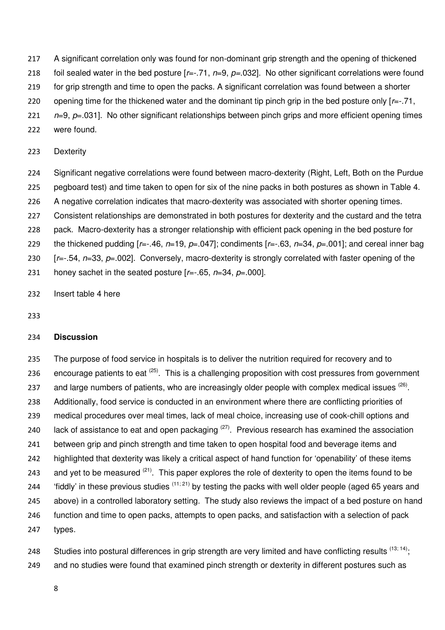- 217 A significant correlation only was found for non-dominant grip strength and the opening of thickened
- 218 foil sealed water in the bed posture  $[r=-.71, n=9, p=.032]$ . No other significant correlations were found
- 219 for grip strength and time to open the packs. A significant correlation was found between a shorter
- 220 opening time for the thickened water and the dominant tip pinch grip in the bed posture only  $[r=-.71,$
- 221  $n=9$ ,  $p=.031$ . No other significant relationships between pinch grips and more efficient opening times
- 222 were found.
- 223 Dexterity
- 224 Significant negative correlations were found between macro-dexterity (Right, Left, Both on the Purdue 225 pegboard test) and time taken to open for six of the nine packs in both postures as shown in Table 4. 226 A negative correlation indicates that macro-dexterity was associated with shorter opening times. 227 Consistent relationships are demonstrated in both postures for dexterity and the custard and the tetra 228 pack. Macro-dexterity has a stronger relationship with efficient pack opening in the bed posture for 229 the thickened pudding  $[r=-.46, n=19, p=-047]$ ; condiments  $[r=-.63, n=34, p=001]$ ; and cereal inner bag 230  $[r=-.54, p=33, p=.002]$ . Conversely, macro-dexterity is strongly correlated with faster opening of the
- 231 honey sachet in the seated posture  $[r=.65, n=34, p=.000]$ .
- 232 Insert table 4 here
- 233

#### 234 **Discussion**

235 The purpose of food service in hospitals is to deliver the nutrition required for recovery and to 236 encourage patients to eat  $(25)$ . This is a challenging proposition with cost pressures from government 237 and large numbers of patients, who are increasingly older people with complex medical issues <sup>(26)</sup>. 238 Additionally, food service is conducted in an environment where there are conflicting priorities of 239 medical procedures over meal times, lack of meal choice, increasing use of cook-chill options and 240 lack of assistance to eat and open packaging  $(27)$ . Previous research has examined the association 241 between grip and pinch strength and time taken to open hospital food and beverage items and 242 highlighted that dexterity was likely a critical aspect of hand function for 'openability' of these items 243 and yet to be measured  $(21)$ . This paper explores the role of dexterity to open the items found to be 244 fiddly' in these previous studies  $(11; 21)$  by testing the packs with well older people (aged 65 years and 245 above) in a controlled laboratory setting. The study also reviews the impact of a bed posture on hand 246 function and time to open packs, attempts to open packs, and satisfaction with a selection of pack 247 types.

248 Studies into postural differences in grip strength are very limited and have conflicting results  $(13; 14)$ ; 249 and no studies were found that examined pinch strength or dexterity in different postures such as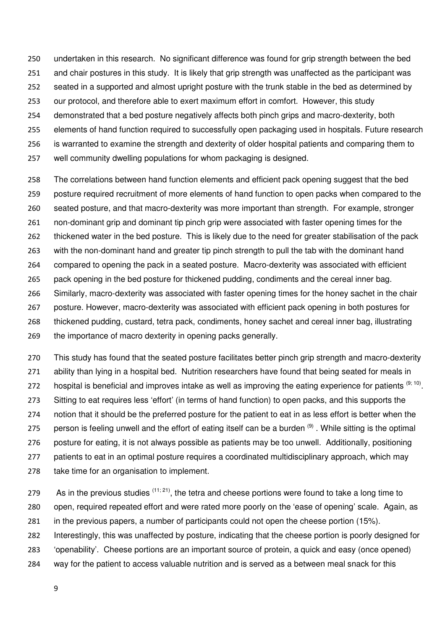undertaken in this research. No significant difference was found for grip strength between the bed and chair postures in this study. It is likely that grip strength was unaffected as the participant was

seated in a supported and almost upright posture with the trunk stable in the bed as determined by

our protocol, and therefore able to exert maximum effort in comfort. However, this study

- demonstrated that a bed posture negatively affects both pinch grips and macro-dexterity, both
- elements of hand function required to successfully open packaging used in hospitals. Future research
- is warranted to examine the strength and dexterity of older hospital patients and comparing them to
- well community dwelling populations for whom packaging is designed.

The correlations between hand function elements and efficient pack opening suggest that the bed posture required recruitment of more elements of hand function to open packs when compared to the seated posture, and that macro-dexterity was more important than strength. For example, stronger non-dominant grip and dominant tip pinch grip were associated with faster opening times for the thickened water in the bed posture. This is likely due to the need for greater stabilisation of the pack with the non-dominant hand and greater tip pinch strength to pull the tab with the dominant hand compared to opening the pack in a seated posture. Macro-dexterity was associated with efficient pack opening in the bed posture for thickened pudding, condiments and the cereal inner bag. Similarly, macro-dexterity was associated with faster opening times for the honey sachet in the chair posture. However, macro-dexterity was associated with efficient pack opening in both postures for thickened pudding, custard, tetra pack, condiments, honey sachet and cereal inner bag, illustrating the importance of macro dexterity in opening packs generally.

This study has found that the seated posture facilitates better pinch grip strength and macro-dexterity ability than lying in a hospital bed. Nutrition researchers have found that being seated for meals in 272 hospital is beneficial and improves intake as well as improving the eating experience for patients  $(9; 10)$ . Sitting to eat requires less 'effort' (in terms of hand function) to open packs, and this supports the notion that it should be the preferred posture for the patient to eat in as less effort is better when the 275 person is feeling unwell and the effort of eating itself can be a burden  $(9)$ . While sitting is the optimal posture for eating, it is not always possible as patients may be too unwell. Additionally, positioning patients to eat in an optimal posture requires a coordinated multidisciplinary approach, which may take time for an organisation to implement.

279 As in the previous studies  $(11; 21)$ , the tetra and cheese portions were found to take a long time to open, required repeated effort and were rated more poorly on the 'ease of opening' scale. Again, as in the previous papers, a number of participants could not open the cheese portion (15%).

Interestingly, this was unaffected by posture, indicating that the cheese portion is poorly designed for

- 'openability'. Cheese portions are an important source of protein, a quick and easy (once opened)
- way for the patient to access valuable nutrition and is served as a between meal snack for this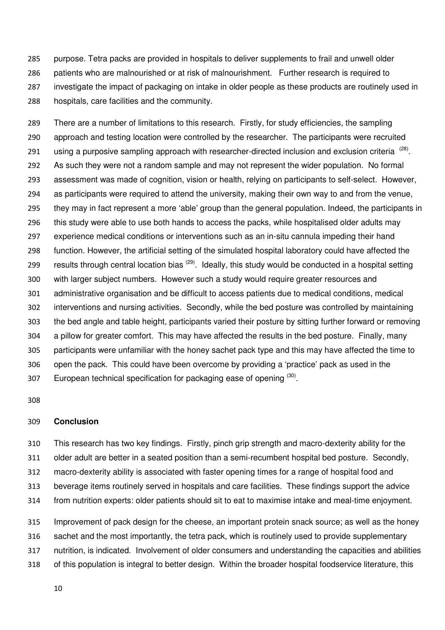purpose. Tetra packs are provided in hospitals to deliver supplements to frail and unwell older patients who are malnourished or at risk of malnourishment. Further research is required to investigate the impact of packaging on intake in older people as these products are routinely used in hospitals, care facilities and the community.

There are a number of limitations to this research. Firstly, for study efficiencies, the sampling approach and testing location were controlled by the researcher. The participants were recruited 291 using a purposive sampling approach with researcher-directed inclusion and exclusion criteria<sup>(28)</sup>. As such they were not a random sample and may not represent the wider population. No formal assessment was made of cognition, vision or health, relying on participants to self-select. However, as participants were required to attend the university, making their own way to and from the venue, they may in fact represent a more 'able' group than the general population. Indeed, the participants in this study were able to use both hands to access the packs, while hospitalised older adults may experience medical conditions or interventions such as an in-situ cannula impeding their hand function. However, the artificial setting of the simulated hospital laboratory could have affected the 299 results through central location bias  $(29)$ . Ideally, this study would be conducted in a hospital setting with larger subject numbers. However such a study would require greater resources and administrative organisation and be difficult to access patients due to medical conditions, medical interventions and nursing activities. Secondly, while the bed posture was controlled by maintaining the bed angle and table height, participants varied their posture by sitting further forward or removing a pillow for greater comfort. This may have affected the results in the bed posture. Finally, many participants were unfamiliar with the honey sachet pack type and this may have affected the time to open the pack. This could have been overcome by providing a 'practice' pack as used in the 307 European technical specification for packaging ease of opening (30).

#### **Conclusion**

This research has two key findings. Firstly, pinch grip strength and macro-dexterity ability for the older adult are better in a seated position than a semi-recumbent hospital bed posture. Secondly,

macro-dexterity ability is associated with faster opening times for a range of hospital food and

beverage items routinely served in hospitals and care facilities. These findings support the advice

from nutrition experts: older patients should sit to eat to maximise intake and meal-time enjoyment.

Improvement of pack design for the cheese, an important protein snack source; as well as the honey

sachet and the most importantly, the tetra pack, which is routinely used to provide supplementary

nutrition, is indicated. Involvement of older consumers and understanding the capacities and abilities

of this population is integral to better design. Within the broader hospital foodservice literature, this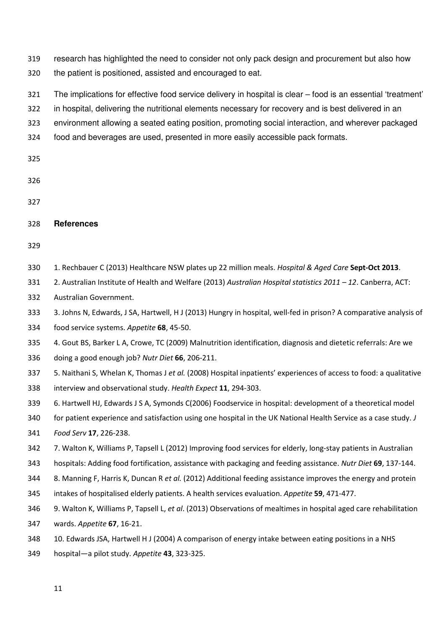319 research has highlighted the need to consider not only pack design and procurement but also how 320 the patient is positioned, assisted and encouraged to eat.

321 The implications for effective food service delivery in hospital is clear – food is an essential 'treatment'

322 in hospital, delivering the nutritional elements necessary for recovery and is best delivered in an

323 environment allowing a seated eating position, promoting social interaction, and wherever packaged

- 324 food and beverages are used, presented in more easily accessible pack formats.
- 325
- 326
- 327

#### 328 **References**

329

- 330 1. Rechbauer C (2013) Healthcare NSW plates up 22 million meals. Hospital & Aged Care Sept-Oct 2013.
- 331 2. Australian Institute of Health and Welfare (2013) Australian Hospital statistics 2011 12. Canberra, ACT:
- 332 Australian Government.
- 333 3. Johns N, Edwards, J SA, Hartwell, H J (2013) Hungry in hospital, well-fed in prison? A comparative analysis of
- 334 food service systems. Appetite 68, 45-50.
- 335 4. Gout BS, Barker L A, Crowe, TC (2009) Malnutrition identification, diagnosis and dietetic referrals: Are we
- 336 doing a good enough job? Nutr Diet 66, 206-211.
- 337 5. Naithani S, Whelan K, Thomas J et al. (2008) Hospital inpatients' experiences of access to food: a qualitative 338 interview and observational study. Health Expect 11, 294-303.
- 339 6. Hartwell HJ, Edwards J S A, Symonds C(2006) Foodservice in hospital: development of a theoretical model
- 340 for patient experience and satisfaction using one hospital in the UK National Health Service as a case study. J
- 341 Food Serv 17, 226-238.
- 342 7. Walton K, Williams P, Tapsell L (2012) Improving food services for elderly, long-stay patients in Australian
- 343 hospitals: Adding food fortification, assistance with packaging and feeding assistance. Nutr Diet 69, 137-144.
- 344 8. Manning F, Harris K, Duncan R et al. (2012) Additional feeding assistance improves the energy and protein
- 345 intakes of hospitalised elderly patients. A health services evaluation. Appetite 59, 471-477.
- 346 9. Walton K, Williams P, Tapsell L, et al. (2013) Observations of mealtimes in hospital aged care rehabilitation
- 347 wards. Appetite 67, 16-21.
- 348 10. Edwards JSA, Hartwell H J (2004) A comparison of energy intake between eating positions in a NHS
- 349 hospital—a pilot study. Appetite 43, 323-325.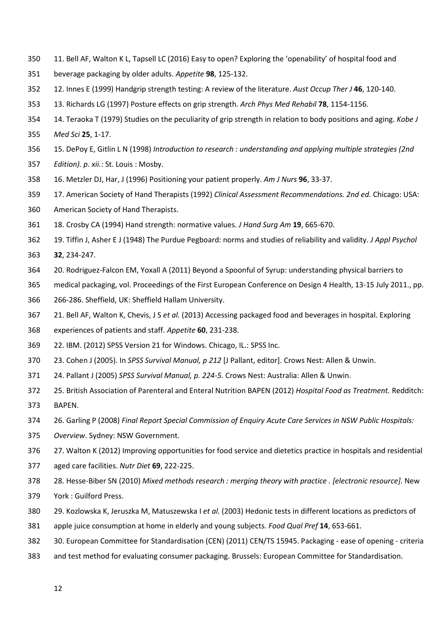- 350 11. Bell AF, Walton K L, Tapsell LC (2016) Easy to open? Exploring the 'openability' of hospital food and
- 351 beverage packaging by older adults. Appetite 98, 125-132.
- 352 12. Innes E (1999) Handgrip strength testing: A review of the literature. Aust Occup Ther J 46, 120-140.
- 353 13. Richards LG (1997) Posture effects on grip strength. Arch Phys Med Rehabil 78, 1154-1156.
- 354 14. Teraoka T (1979) Studies on the peculiarity of grip strength in relation to body positions and aging. Kobe J
- 355 Med Sci 25, 1-17.
- 356 15. DePoy E, Gitlin L N (1998) Introduction to research : understanding and applying multiple strategies (2nd
- 357 Edition). p. xii.: St. Louis : Mosby.
- 358 16. Metzler DJ, Har, J (1996) Positioning your patient properly. Am J Nurs 96, 33-37.
- 359 17. American Society of Hand Therapists (1992) Clinical Assessment Recommendations. 2nd ed. Chicago: USA:
- 360 American Society of Hand Therapists.
- 361 18. Crosby CA (1994) Hand strength: normative values. J Hand Surg Am 19, 665-670.
- 362 19. Tiffin J, Asher E J (1948) The Purdue Pegboard: norms and studies of reliability and validity. J Appl Psychol
- 363 32, 234-247.
- 364 20. Rodriguez-Falcon EM, Yoxall A (2011) Beyond a Spoonful of Syrup: understanding physical barriers to
- 365 medical packaging, vol. Proceedings of the First European Conference on Design 4 Health, 13-15 July 2011., pp.
- 366 266-286. Sheffield, UK: Sheffield Hallam University.
- 367 21. Bell AF, Walton K, Chevis, J S et al. (2013) Accessing packaged food and beverages in hospital. Exploring
- 368 experiences of patients and staff. Appetite 60, 231-238.
- 369 22. IBM. (2012) SPSS Version 21 for Windows. Chicago, IL.: SPSS Inc.
- 370 23. Cohen J (2005). In SPSS Survival Manual, p 212 [J Pallant, editor]. Crows Nest: Allen & Unwin.
- 371 24. Pallant J (2005) SPSS Survival Manual, p. 224-5. Crows Nest: Australia: Allen & Unwin.
- 372 25. British Association of Parenteral and Enteral Nutrition BAPEN (2012) Hospital Food as Treatment. Redditch:
- 373 BAPEN.
- 374 26. Garling P (2008) Final Report Special Commission of Enquiry Acute Care Services in NSW Public Hospitals:
- 375 Overview. Sydney: NSW Government.
- 376 27. Walton K (2012) Improving opportunities for food service and dietetics practice in hospitals and residential
- 377 aged care facilities. Nutr Diet 69, 222-225.
- 378 28. Hesse-Biber SN (2010) Mixed methods research : merging theory with practice . [electronic resource]. New
- 379 York : Guilford Press.
- 380 29. Kozlowska K, Jeruszka M, Matuszewska I et al. (2003) Hedonic tests in different locations as predictors of
- 381 apple juice consumption at home in elderly and young subjects. Food Qual Pref 14, 653-661.
- 382 30. European Committee for Standardisation (CEN) (2011) CEN/TS 15945. Packaging ease of opening criteria
- 383 and test method for evaluating consumer packaging. Brussels: European Committee for Standardisation.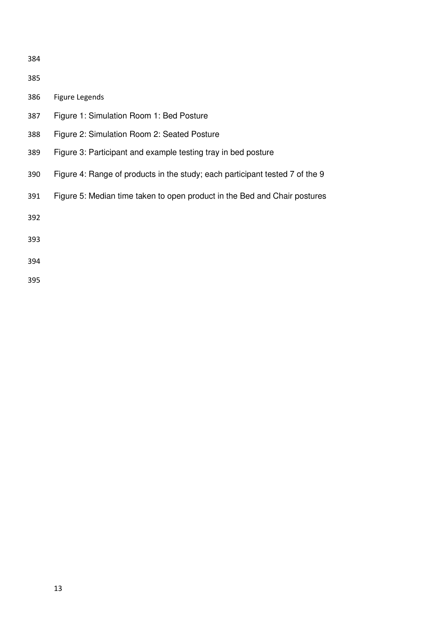386 Figure Legends Figure 1: Simulation Room 1: Bed Posture Figure 2: Simulation Room 2: Seated Posture Figure 3: Participant and example testing tray in bed posture Figure 4: Range of products in the study; each participant tested 7 of the 9 Figure 5: Median time taken to open product in the Bed and Chair postures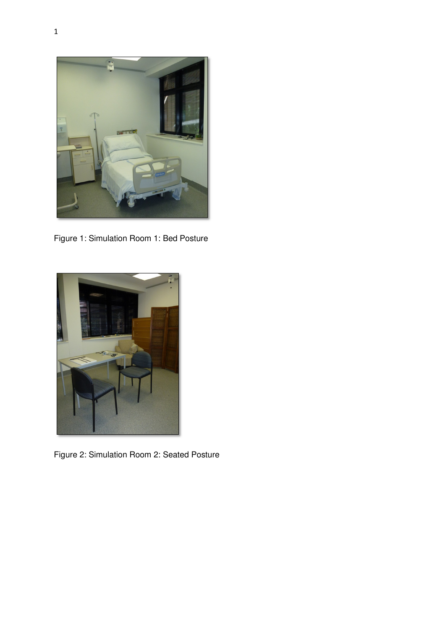

Figure 1: Simulation Room 1: Bed Posture



Figure 2: Simulation Room 2: Seated Posture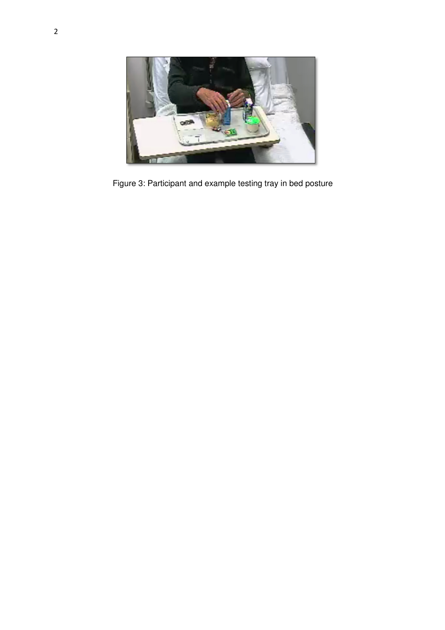

Figure 3: Participant and example testing tray in bed posture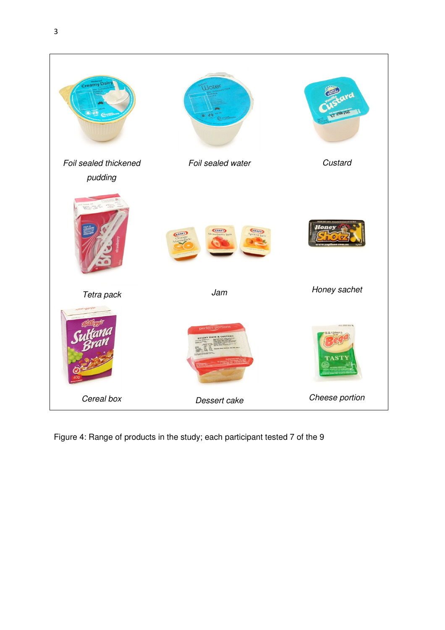

Figure 4: Range of products in the study; each participant tested 7 of the 9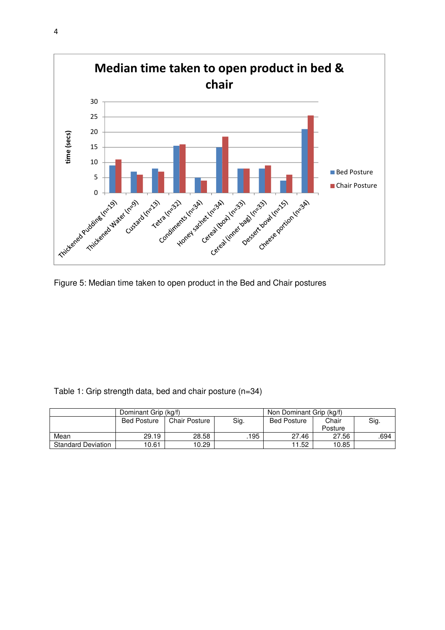

Figure 5: Median time taken to open product in the Bed and Chair postures

| Table 1: Grip strength data, bed and chair posture (n=34) |  |  |
|-----------------------------------------------------------|--|--|
|                                                           |  |  |

|                           | Dominant Grip (kg/f) |                      |      | Non Dominant Grip (kg/f) |         |      |  |
|---------------------------|----------------------|----------------------|------|--------------------------|---------|------|--|
|                           | <b>Bed Posture</b>   | <b>Chair Posture</b> | Sig. | <b>Bed Posture</b>       | Chair   | Sig. |  |
|                           |                      |                      |      |                          | Posture |      |  |
| Mean                      | 29.19                | 28.58                | 195  | 27.46                    | 27.56   | .694 |  |
| <b>Standard Deviation</b> | 10.61                | 10.29                |      | 11.52                    | 10.85   |      |  |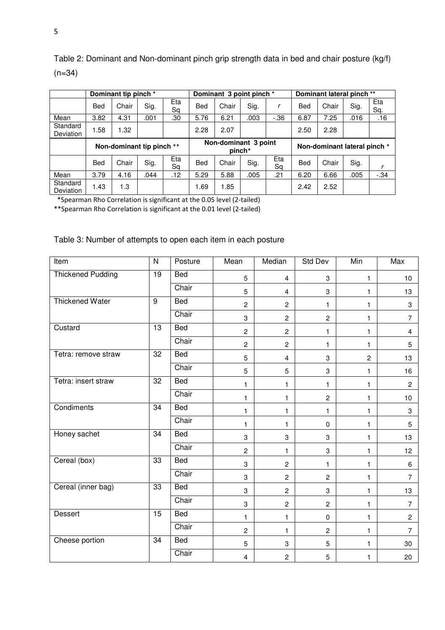|                       | Dominant tip pinch *      |       |      | Dominant 3 point pinch * |            |          | Dominant lateral pinch ** |           |            |                              |      |            |
|-----------------------|---------------------------|-------|------|--------------------------|------------|----------|---------------------------|-----------|------------|------------------------------|------|------------|
|                       | <b>Bed</b>                | Chair | Sig. | Eta<br>Sa                | <b>Bed</b> | Chair    | Sig.                      | r         | <b>Bed</b> | Chair                        | Sig. | Eta<br>Sq. |
| Mean                  | 3.82                      | 4.31  | .001 | .30                      | 5.76       | 6.21     | .003                      | $-0.36$   | 6.87       | 7.25                         | .016 | .16        |
| Standard<br>Deviation | 1.58                      | 1.32  |      |                          | 2.28       | 2.07     |                           |           | 2.50       | 2.28                         |      |            |
|                       | Non-dominant tip pinch ** |       |      |                          |            |          |                           |           |            |                              |      |            |
|                       |                           |       |      |                          |            | $pinch*$ | Non-dominant 3 point      |           |            | Non-dominant lateral pinch * |      |            |
|                       | <b>Bed</b>                | Chair | Sig. | Eta<br>Sa                | <b>Bed</b> | Chair    | Sig.                      | Eta<br>Sa | <b>Bed</b> | Chair                        | Sig. |            |
| Mean                  | 3.79                      | 4.16  | .044 | .12                      | 5.29       | 5.88     | .005                      | .21       | 6.20       | 6.66                         | .005 | $-.34$     |

Table 2: Dominant and Non-dominant pinch grip strength data in bed and chair posture (kg/f)  $(n=34)$ 

\*Spearman Rho Correlation is significant at the 0.05 level (2-tailed)

\*\*Spearman Rho Correlation is significant at the 0.01 level (2-tailed)

# Table 3: Number of attempts to open each item in each posture

| Item                     | $\mathsf{N}$    | Posture    | Mean           | Median                    | Std Dev        | Min            | Max            |
|--------------------------|-----------------|------------|----------------|---------------------------|----------------|----------------|----------------|
| <b>Thickened Pudding</b> | $\overline{19}$ | <b>Bed</b> | 5              | 4                         | 3              | 1              | 10             |
|                          |                 | Chair      | 5              | $\overline{4}$            | 3              | $\mathbf{1}$   | 13             |
| <b>Thickened Water</b>   | $\overline{9}$  | Bed        | $\overline{c}$ | $\mathbf{2}$              | 1              | 1              | 3              |
|                          |                 | Chair      | 3              | $\overline{2}$            | $\overline{c}$ | 1              | $\overline{7}$ |
| Custard                  | 13              | Bed        | $\mathbf{2}$   | $\overline{c}$            | 1              | $\mathbf{1}$   | 4              |
|                          |                 | Chair      | $\overline{c}$ | $\overline{c}$            | 1              | $\mathbf{1}$   | 5              |
| Tetra: remove straw      | 32              | Bed        | 5              | $\overline{4}$            | 3              | $\overline{c}$ | 13             |
|                          |                 | Chair      | $\overline{5}$ | 5                         | 3              | $\mathbf{1}$   | 16             |
| Tetra: insert straw      | 32              | Bed        | 1              | $\blacksquare$            | $\mathbf{1}$   | 1              | $\overline{2}$ |
|                          |                 | Chair      | $\mathbf{1}$   | 1                         | $\overline{c}$ | $\mathbf{1}$   | 10             |
| Condiments               | 34              | Bed        | 1              | $\mathbf{1}$              | $\mathbf{1}$   | $\mathbf{1}$   | 3              |
|                          |                 | Chair      | 1.             | 1                         | $\mathbf 0$    | $\mathbf{1}$   | 5              |
| Honey sachet             | $\overline{34}$ | <b>Bed</b> | 3              | 3                         | 3              | $\mathbf{1}$   | 13             |
|                          |                 | Chair      | $\overline{c}$ | 1                         | 3              | 1              | 12             |
| Cereal (box)             | $\overline{33}$ | <b>Bed</b> | 3              | $\overline{2}$            | 1              | $\mathbf{1}$   | 6              |
|                          |                 | Chair      | 3              | $\overline{c}$            | $\overline{c}$ | 1              | $\overline{7}$ |
| Cereal (inner bag)       | $\overline{33}$ | Bed        | 3              | $\overline{c}$            | 3              | 1              | 13             |
|                          |                 | Chair      | 3              | $\overline{2}$            | $\overline{c}$ | $\mathbf{1}$   | $\overline{7}$ |
| <b>Dessert</b>           | 15              | Bed        | 1              | 1                         | $\pmb{0}$      | $\mathbf{1}$   | $\overline{c}$ |
|                          |                 | Chair      | $\overline{2}$ | 1                         | $\overline{c}$ | $\mathbf{1}$   | $\overline{7}$ |
| Cheese portion           | 34              | <b>Bed</b> | 5              | $\ensuremath{\mathsf{3}}$ | 5              | $\mathbf{1}$   | 30             |
|                          |                 | Chair      | $\overline{4}$ | $\overline{c}$            | 5              | 1              | 20             |